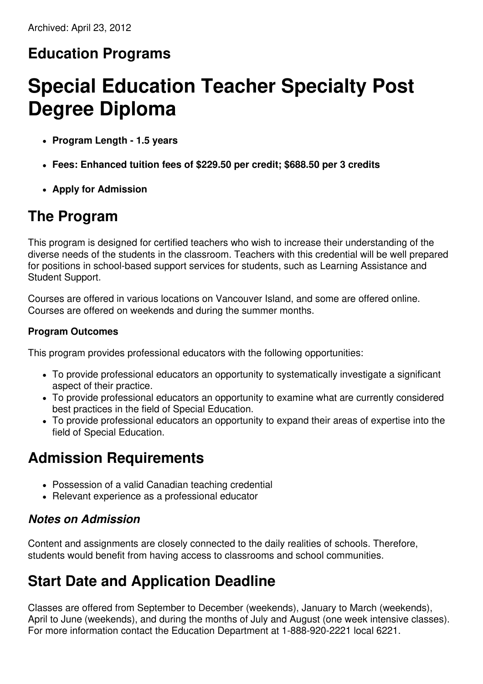#### **Education Programs**

# **Special Education Teacher Specialty Post Degree Diploma**

- **Program Length - 1.5 years**
- **Fees: Enhanced tuition fees of \$229.50 per credit; \$688.50 per 3 credits**
- **Apply for Admission**

#### **The Program**

This program is designed for certified teachers who wish to increase their understanding of the diverse needs of the students in the classroom. Teachers with this credential will be well prepared for positions in school-based support services for students, such as Learning Assistance and Student Support.

Courses are offered in various locations on Vancouver Island, and some are offered online. Courses are offered on weekends and during the summer months.

#### **Program Outcomes**

This program provides professional educators with the following opportunities:

- To provide professional educators an opportunity to systematically investigate a significant aspect of their practice.
- To provide professional educators an opportunity to examine what are currently considered best practices in the field of Special Education.
- To provide professional educators an opportunity to expand their areas of expertise into the field of Special Education.

#### **Admission Requirements**

- Possession of a valid Canadian teaching credential
- Relevant experience as a professional educator

#### *Notes on Admission*

Content and assignments are closely connected to the daily realities of schools. Therefore, students would benefit from having access to classrooms and school communities.

### **Start Date and Application Deadline**

Classes are offered from September to December (weekends), January to March (weekends), April to June (weekends), and during the months of July and August (one week intensive classes). For more information contact the Education Department at 1-888-920-2221 local 6221.